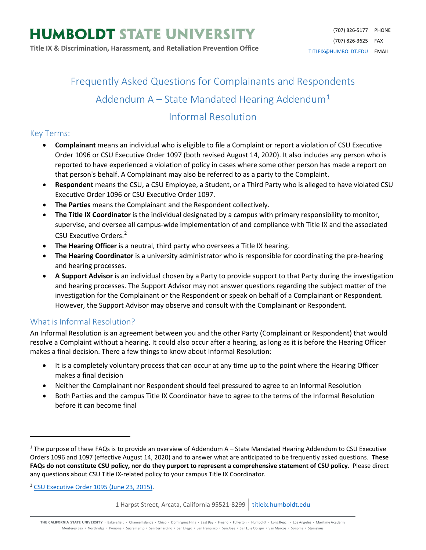# Frequently Asked Questions for Complainants and Respondents Addendum  $A -$  State Mandated Hearing Addendum<sup>[1](#page-0-0)</sup> Informal Resolution

### Key Terms:

- **Complainant** means an individual who is eligible to file a Complaint or report a violation of CSU Executive Order 1096 or CSU Executive Order 1097 (both revised August 14, 2020). It also includes any person who is reported to have experienced a violation of policy in cases where some other person has made a report on that person's behalf. A Complainant may also be referred to as a party to the Complaint.
- **Respondent** means the CSU, a CSU Employee, a Student, or a Third Party who is alleged to have violated CSU Executive Order 1096 or CSU Executive Order 1097.
- **The Parties** means the Complainant and the Respondent collectively.
- **The Title IX Coordinator** is the individual designated by a campus with primary responsibility to monitor, supervise, and oversee all campus-wide implementation of and compliance with Title IX and the associated CSU Executive Orders.<sup>[2](#page-0-1)</sup>
- **The Hearing Officer** is a neutral, third party who oversees a Title IX hearing.
- **The Hearing Coordinator** is a university administrator who is responsible for coordinating the pre-hearing and hearing processes.
- **A Support Advisor** is an individual chosen by a Party to provide support to that Party during the investigation and hearing processes. The Support Advisor may not answer questions regarding the subject matter of the investigation for the Complainant or the Respondent or speak on behalf of a Complainant or Respondent. However, the Support Advisor may observe and consult with the Complainant or Respondent.

#### What is Informal Resolution?

An Informal Resolution is an agreement between you and the other Party (Complainant or Respondent) that would resolve a Complaint without a hearing. It could also occur after a hearing, as long as it is before the Hearing Officer makes a final decision. There a few things to know about Informal Resolution:

- It is a completely voluntary process that can occur at any time up to the point where the Hearing Officer makes a final decision
- Neither the Complainant nor Respondent should feel pressured to agree to an Informal Resolution
- Both Parties and the campus Title IX Coordinator have to agree to the terms of the Informal Resolution before it can become final

<span id="page-0-1"></span><sup>2</sup> [CSU Executive Order 1095 \(June 23, 2015\).](https://calstate.policystat.com/policy/6741651/latest/)

 $\overline{\phantom{a}}$ 

1 Harpst Street, Arcata, California 95521-8299 | [titleix.humboldt.edu](https://titleix.humboldt.edu/)

THE CALIFORNIA STATE UNIVERSITY · Bakersfield · Channel Islands · Chico · Dominguez Hills · East Bay · Fresno · Fullerton · Humboldt · Long Beach · Los Angeles · Maritime Academy Monterey Bay . Northridge . Pomona . Sacramento . San Bernardino . San Diego . San Francisco . San Jose . San Luis Obispo . San Marcos . Sonoma . Stanislaus

<span id="page-0-0"></span> $1$  The purpose of these FAQs is to provide an overview of Addendum A – State Mandated Hearing Addendum to CSU Executive Orders 1096 and 1097 (effective August 14, 2020) and to answer what are anticipated to be frequently asked questions. **These FAQs do not constitute CSU policy, nor do they purport to represent a comprehensive statement of CSU policy**. Please direct any questions about CSU Title IX-related policy to your campus Title IX Coordinator.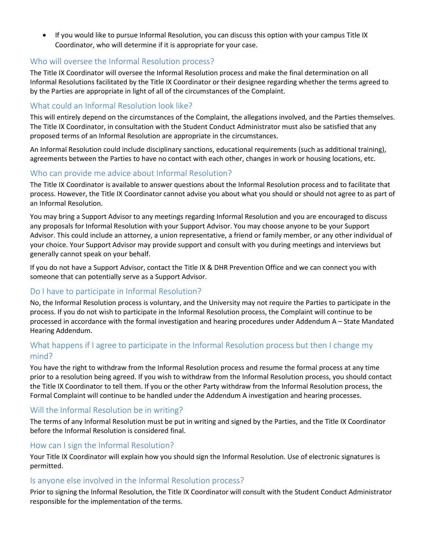• If you would like to pursue Informal Resolution, you can discuss this option with your campus Title IX Coordinator, who will determine if it is appropriate for your case.

#### Who will oversee the Informal Resolution process?

The Title IX Coordinator will oversee the Informal Resolution process and make the final determination on all Informal Resolutions facilitated by the Title IX Coordinator or their designee regarding whether the terms agreed to by the Parties are appropriate in light of all of the circumstances of the Complaint.

#### What could an Informal Resolution look like?

This will entirely depend on the circumstances of the Complaint, the allegations involved, and the Parties themselves. The Title IX Coordinator, in consultation with the Student Conduct Administrator must also be satisfied that any proposed terms of an Informal Resolution are appropriate in the circumstances.

An Informal Resolution could include disciplinary sanctions, educational requirements (such as additional training), agreements between the Parties to have no contact with each other, changes in work or housing locations, etc.

### Who can provide me advice about Informal Resolution?

The Title IX Coordinator is available to answer questions about the Informal Resolution process and to facilitate that process. However, the Title IX Coordinator cannot advise you about what you should or should not agree to as part of an Informal Resolution.

You may bring a Support Advisor to any meetings regarding Informal Resolution and you are encouraged to discuss any proposals for Informal Resolution with your Support Advisor. You may choose anyone to be your Support Advisor. This could include an attorney, a union representative, a friend or family member, or any other individual of your choice. Your Support Advisor may provide support and consult with you during meetings and interviews but generally cannot speak on your behalf.

If you do not have a Support Advisor, contact the Title IX & DHR Prevention Office and we can connect you with someone that can potentially serve as a Support Advisor.

#### Do I have to participate in Informal Resolution?

No, the Informal Resolution process is voluntary, and the University may not require the Parties to participate in the process. If you do not wish to participate in the Informal Resolution process, the Complaint will continue to be processed in accordance with the formal investigation and hearing procedures under Addendum A – State Mandated Hearing Addendum.

# What happens if I agree to participate in the Informal Resolution process but then I change my mind?

You have the right to withdraw from the Informal Resolution process and resume the formal process at any time prior to a resolution being agreed. If you wish to withdraw from the Informal Resolution process, you should contact the Title IX Coordinator to tell them. If you or the other Party withdraw from the Informal Resolution process, the Formal Complaint will continue to be handled under the Addendum A investigation and hearing processes.

#### Will the Informal Resolution be in writing?

The terms of any Informal Resolution must be put in writing and signed by the Parties, and the Title IX Coordinator before the Informal Resolution is considered final.

#### How can I sign the Informal Resolution?

Your Title IX Coordinator will explain how you should sign the Informal Resolution. Use of electronic signatures is permitted.

#### Is anyone else involved in the Informal Resolution process?

Prior to signing the Informal Resolution, the Title IX Coordinator will consult with the Student Conduct Administrator responsible for the implementation of the terms.